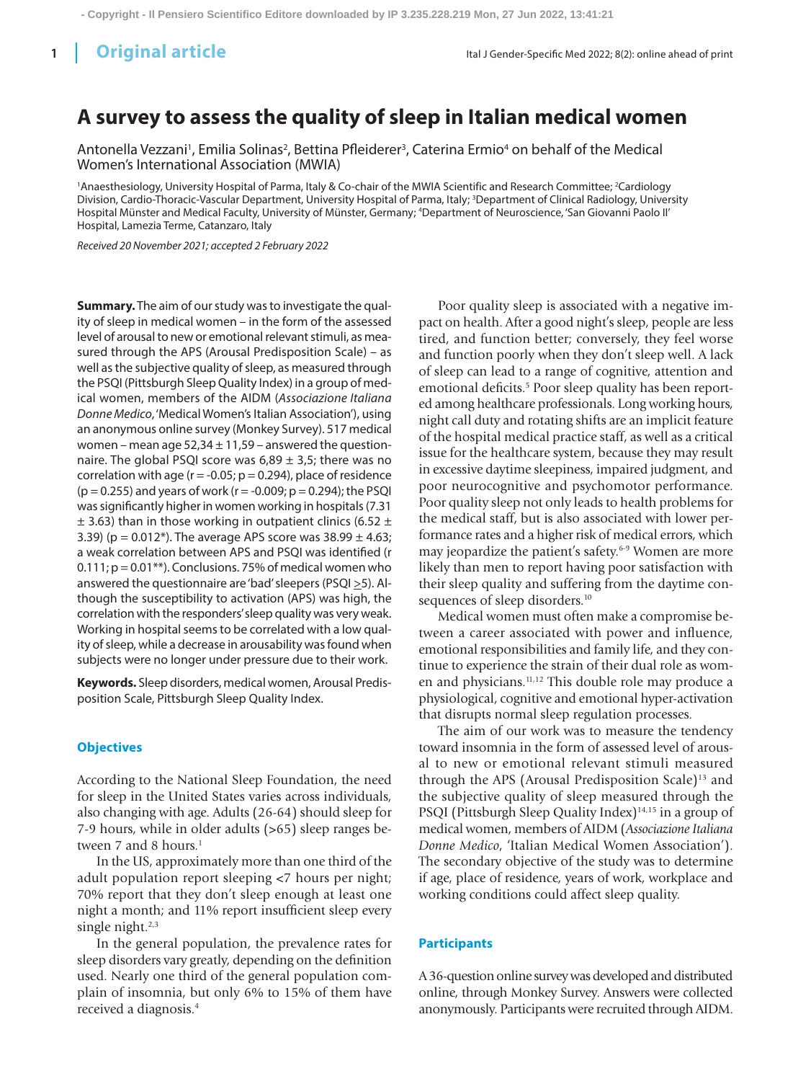# **A survey to assess the quality of sleep in Italian medical women**

Antonella Vezzani<sup>1</sup>, Emilia Solinas<sup>2</sup>, Bettina Pfleiderer<sup>3</sup>, Caterina Ermio<sup>4</sup> on behalf of the Medical Women's International Association (MWIA)

<sup>1</sup>Anaesthesiology, University Hospital of Parma, Italy & Co-chair of the MWIA Scientific and Research Committee; <sup>2</sup>Cardiology Division, Cardio-Thoracic-Vascular Department, University Hospital of Parma, Italy; <sup>3</sup>Department of Clinical Radiology, University Hospital Münster and Medical Faculty, University of Münster, Germany; 4 Department of Neuroscience, 'San Giovanni Paolo II' Hospital, Lamezia Terme, Catanzaro, Italy

*Received 20 November 2021; accepted 2 February 2022*

**Summary.** The aim of our study was to investigate the quality of sleep in medical women – in the form of the assessed level of arousal to new or emotional relevant stimuli, as measured through the APS (Arousal Predisposition Scale) – as well as the subjective quality of sleep, as measured through the PSQI (Pittsburgh Sleep Quality Index) in a group of medical women, members of the AIDM (*Associazione Italiana Donne Medico*, 'Medical Women's Italian Association'), using an anonymous online survey (Monkey Survey). 517 medical women – mean age  $52,34 \pm 11,59$  – answered the questionnaire. The global PSQI score was  $6,89 \pm 3,5$ ; there was no correlation with age ( $r = -0.05$ ;  $p = 0.294$ ), place of residence ( $p = 0.255$ ) and years of work ( $r = -0.009$ ;  $p = 0.294$ ); the PSQI was significantly higher in women working in hospitals (7.31  $\pm$  3.63) than in those working in outpatient clinics (6.52  $\pm$ 3.39) ( $p = 0.012$ <sup>\*</sup>). The average APS score was  $38.99 \pm 4.63$ ; a weak correlation between APS and PSQI was identified (r 0.111;  $p = 0.01**$ ). Conclusions. 75% of medical women who answered the questionnaire are 'bad' sleepers (PSQI  $\geq$ 5). Although the susceptibility to activation (APS) was high, the correlation with the responders' sleep quality was very weak. Working in hospital seems to be correlated with a low quality of sleep, while a decrease in arousability was found when subjects were no longer under pressure due to their work.

**Keywords.** Sleep disorders, medical women, Arousal Predisposition Scale, Pittsburgh Sleep Quality Index.

#### **Objectives**

According to the National Sleep Foundation, the need for sleep in the United States varies across individuals, also changing with age. Adults (26-64) should sleep for 7-9 hours, while in older adults (>65) sleep ranges between 7 and 8 hours.<sup>1</sup>

In the US, approximately more than one third of the adult population report sleeping <7 hours per night; 70% report that they don't sleep enough at least one night a month; and 11% report insufficient sleep every single night.<sup>2,3</sup>

In the general population, the prevalence rates for sleep disorders vary greatly, depending on the definition used. Nearly one third of the general population complain of insomnia, but only 6% to 15% of them have received a diagnosis.4

Poor quality sleep is associated with a negative impact on health. After a good night's sleep, people are less tired, and function better; conversely, they feel worse and function poorly when they don't sleep well. A lack of sleep can lead to a range of cognitive, attention and emotional deficits.<sup>5</sup> Poor sleep quality has been reported among healthcare professionals. Long working hours, night call duty and rotating shifts are an implicit feature of the hospital medical practice staff, as well as a critical issue for the healthcare system, because they may result in excessive daytime sleepiness, impaired judgment, and poor neurocognitive and psychomotor performance. Poor quality sleep not only leads to health problems for the medical staff, but is also associated with lower performance rates and a higher risk of medical errors, which may jeopardize the patient's safety.<sup>6-9</sup> Women are more likely than men to report having poor satisfaction with their sleep quality and suffering from the daytime consequences of sleep disorders.<sup>10</sup>

Medical women must often make a compromise between a career associated with power and influence, emotional responsibilities and family life, and they continue to experience the strain of their dual role as women and physicians.11,12 This double role may produce a physiological, cognitive and emotional hyper-activation that disrupts normal sleep regulation processes.

The aim of our work was to measure the tendency toward insomnia in the form of assessed level of arousal to new or emotional relevant stimuli measured through the APS (Arousal Predisposition Scale)<sup>13</sup> and the subjective quality of sleep measured through the PSQI (Pittsburgh Sleep Quality Index)<sup>14,15</sup> in a group of medical women, members of AIDM (*Associazione Italiana Donne Medico*, 'Italian Medical Women Association'). The secondary objective of the study was to determine if age, place of residence, years of work, workplace and working conditions could affect sleep quality.

## **Participants**

A 36-question online survey was developed and distributed online, through Monkey Survey. Answers were collected anonymously. Participants were recruited through AIDM.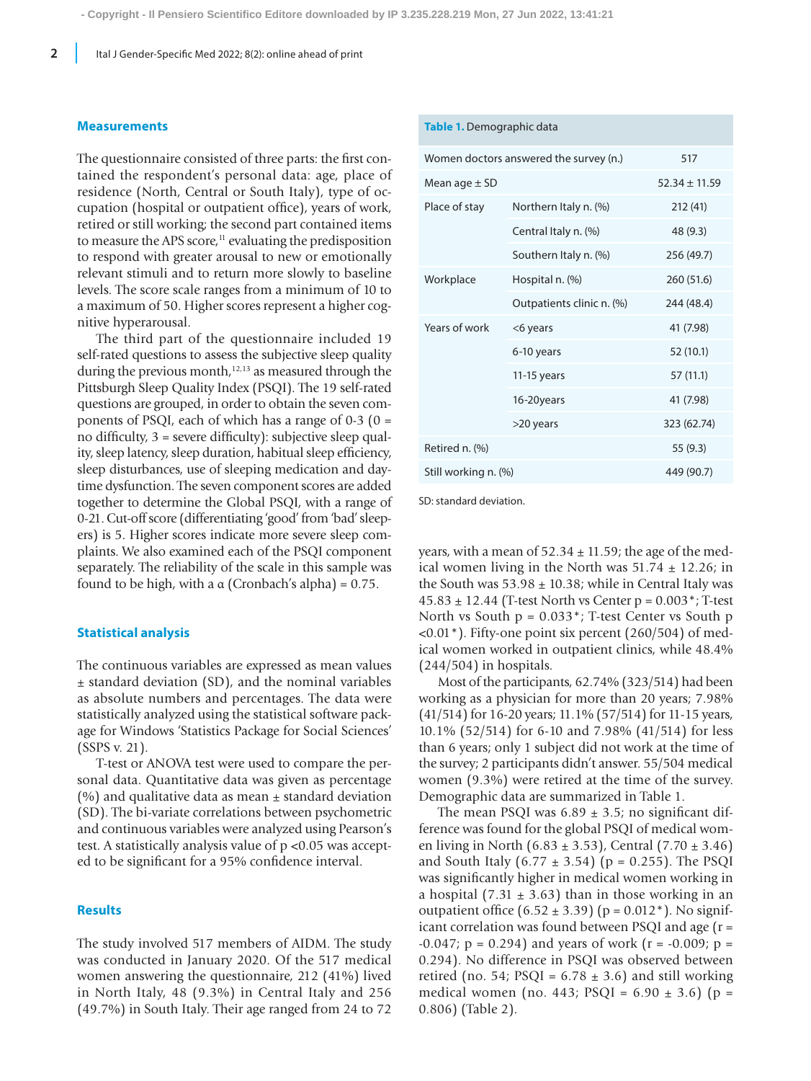#### **Measurements**

The questionnaire consisted of three parts: the first contained the respondent's personal data: age, place of residence (North, Central or South Italy), type of occupation (hospital or outpatient office), years of work, retired or still working; the second part contained items to measure the APS score, $11$  evaluating the predisposition to respond with greater arousal to new or emotionally relevant stimuli and to return more slowly to baseline levels. The score scale ranges from a minimum of 10 to a maximum of 50. Higher scores represent a higher cognitive hyperarousal.

The third part of the questionnaire included 19 self-rated questions to assess the subjective sleep quality during the previous month, $12,13$  as measured through the Pittsburgh Sleep Quality Index (PSQI). The 19 self-rated questions are grouped, in order to obtain the seven components of PSQI, each of which has a range of  $0-3$  ( $0 =$ no difficulty, 3 = severe difficulty): subjective sleep quality, sleep latency, sleep duration, habitual sleep efficiency, sleep disturbances, use of sleeping medication and daytime dysfunction. The seven component scores are added together to determine the Global PSQI, with a range of 0-21. Cut-off score (differentiating 'good' from 'bad' sleepers) is 5. Higher scores indicate more severe sleep complaints. We also examined each of the PSQI component separately. The reliability of the scale in this sample was found to be high, with a  $\alpha$  (Cronbach's alpha) = 0.75.

#### **Statistical analysis**

The continuous variables are expressed as mean values ± standard deviation (SD), and the nominal variables as absolute numbers and percentages. The data were statistically analyzed using the statistical software package for Windows 'Statistics Package for Social Sciences' (SSPS v. 21).

T-test or ANOVA test were used to compare the personal data. Quantitative data was given as percentage (%) and qualitative data as mean  $\pm$  standard deviation (SD). The bi-variate correlations between psychometric and continuous variables were analyzed using Pearson's test. A statistically analysis value of p <0.05 was accepted to be significant for a 95% confidence interval.

## **Results**

The study involved 517 members of AIDM. The study was conducted in January 2020. Of the 517 medical women answering the questionnaire, 212 (41%) lived in North Italy, 48 (9.3%) in Central Italy and 256 (49.7%) in South Italy. Their age ranged from 24 to 72

| asic is behild graphic data            |                           |             |  |  |  |  |  |
|----------------------------------------|---------------------------|-------------|--|--|--|--|--|
| Women doctors answered the survey (n.) | 517                       |             |  |  |  |  |  |
| Mean age $\pm$ SD                      | $52.34 \pm 11.59$         |             |  |  |  |  |  |
| Place of stay                          | Northern Italy n. (%)     | 212(41)     |  |  |  |  |  |
|                                        | Central Italy n. (%)      | 48 (9.3)    |  |  |  |  |  |
|                                        | Southern Italy n. (%)     | 256 (49.7)  |  |  |  |  |  |
| Workplace                              | Hospital n. (%)           | 260 (51.6)  |  |  |  |  |  |
|                                        | Outpatients clinic n. (%) | 244 (48.4)  |  |  |  |  |  |
| Years of work                          | <6 years                  | 41 (7.98)   |  |  |  |  |  |
|                                        | 6-10 years                | 52 (10.1)   |  |  |  |  |  |
|                                        | $11-15$ years             | 57 (11.1)   |  |  |  |  |  |
|                                        | 16-20years                | 41 (7.98)   |  |  |  |  |  |
|                                        | >20 years                 | 323 (62.74) |  |  |  |  |  |
| Retired n. (%)                         |                           | 55 (9.3)    |  |  |  |  |  |
| Still working n. (%)                   | 449 (90.7)                |             |  |  |  |  |  |
|                                        |                           |             |  |  |  |  |  |

SD: standard deviation.

**Table 1.** Demographic data

years, with a mean of  $52.34 \pm 11.59$ ; the age of the medical women living in the North was  $51.74 \pm 12.26$ ; in the South was  $53.98 \pm 10.38$ ; while in Central Italy was  $45.83 \pm 12.44$  (T-test North vs Center p = 0.003<sup>\*</sup>; T-test North vs South  $p = 0.033$ <sup>\*</sup>; T-test Center vs South  $p$  $\langle 0.01^*$ ). Fifty-one point six percent (260/504) of medical women worked in outpatient clinics, while 48.4% (244/504) in hospitals.

Most of the participants, 62.74% (323/514) had been working as a physician for more than 20 years; 7.98% (41/514) for 16-20 years; 11.1% (57/514) for 11-15 years, 10.1% (52/514) for 6-10 and 7.98% (41/514) for less than 6 years; only 1 subject did not work at the time of the survey; 2 participants didn't answer. 55/504 medical women (9.3%) were retired at the time of the survey. Demographic data are summarized in Table 1.

The mean PSQI was  $6.89 \pm 3.5$ ; no significant difference was found for the global PSQI of medical women living in North (6.83  $\pm$  3.53), Central (7.70  $\pm$  3.46) and South Italy (6.77  $\pm$  3.54) (p = 0.255). The PSQI was significantly higher in medical women working in a hospital (7.31  $\pm$  3.63) than in those working in an outpatient office  $(6.52 \pm 3.39)$  (p = 0.012<sup>\*</sup>). No significant correlation was found between PSQI and age (r =  $-0.047$ ; p = 0.294) and years of work (r =  $-0.009$ ; p = 0.294). No difference in PSQI was observed between retired (no. 54; PSQI =  $6.78 \pm 3.6$ ) and still working medical women (no. 443;  $PSQI = 6.90 \pm 3.6$ ) (p = 0.806) (Table 2).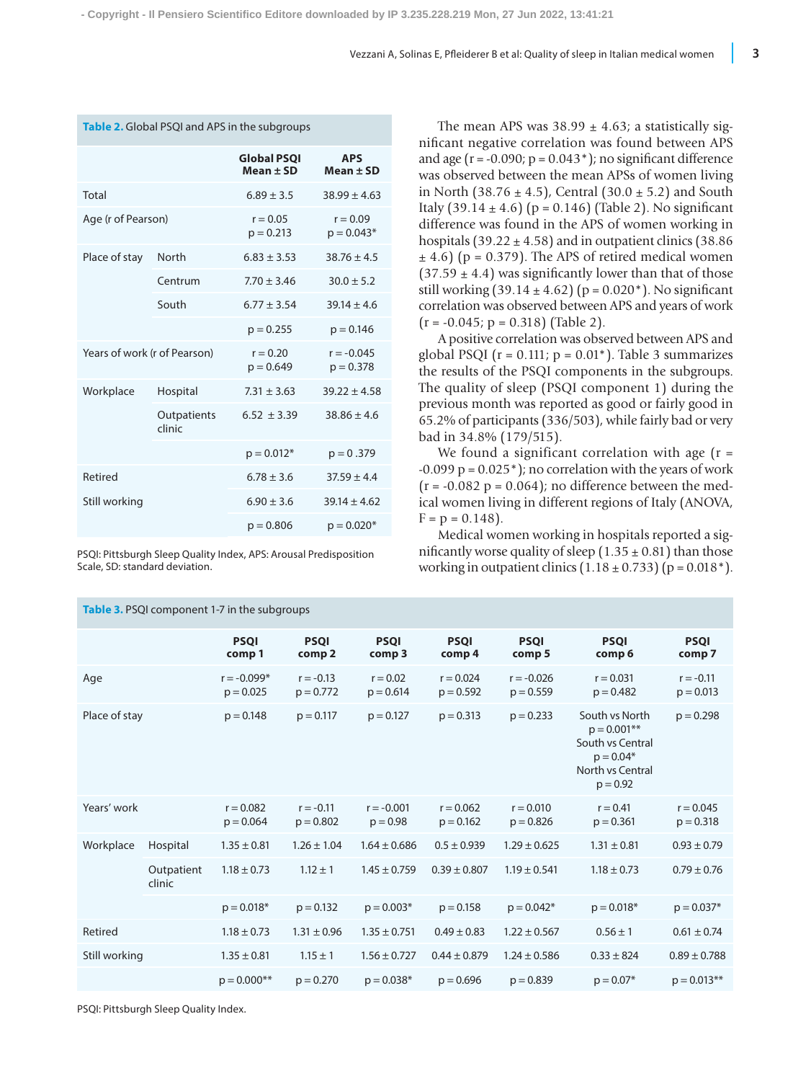|                              |                       | <b>Global PSOI</b><br>$Mean \pm SD$ | <b>APS</b><br>$Mean + SD$   |  |
|------------------------------|-----------------------|-------------------------------------|-----------------------------|--|
| Total                        |                       | $6.89 + 3.5$                        | $38.99 \pm 4.63$            |  |
| Age (r of Pearson)           |                       | $r = 0.05$<br>$p = 0.213$           | $r = 0.09$<br>$p = 0.043*$  |  |
| Place of stay                | North                 | $6.83 \pm 3.53$                     | $38.76 \pm 4.5$             |  |
|                              | Centrum               | $7.70 \pm 3.46$                     | $30.0 \pm 5.2$              |  |
|                              | South                 | $6.77 \pm 3.54$                     | $39.14 \pm 4.6$             |  |
|                              |                       | $p = 0.255$                         | $p = 0.146$                 |  |
| Years of work (r of Pearson) |                       | $r = 0.20$<br>$p = 0.649$           | $r = -0.045$<br>$p = 0.378$ |  |
| Workplace                    | Hospital              | $7.31 \pm 3.63$                     | $39.22 \pm 4.58$            |  |
|                              | Outpatients<br>clinic | $6.52 \pm 3.39$                     | $38.86 \pm 4.6$             |  |
|                              |                       | $p = 0.012*$                        | $p = 0.379$                 |  |
| Retired                      |                       | $6.78 \pm 3.6$                      | $37.59 \pm 4.4$             |  |
| Still working                |                       | $6.90 \pm 3.6$                      | $39.14 \pm 4.62$            |  |
|                              |                       | $p = 0.806$                         | $p = 0.020*$                |  |

**Table 2.** Global PSQI and APS in the subgroups

PSQI: Pittsburgh Sleep Quality Index, APS: Arousal Predisposition Scale, SD: standard deviation.

The mean APS was  $38.99 \pm 4.63$ ; a statistically significant negative correlation was found between APS and age ( $r = -0.090$ ;  $p = 0.043$ <sup>\*</sup>); no significant difference was observed between the mean APSs of women living in North (38.76  $\pm$  4.5), Central (30.0  $\pm$  5.2) and South Italy (39.14  $\pm$  4.6) (p = 0.146) (Table 2). No significant difference was found in the APS of women working in hospitals (39.22  $\pm$  4.58) and in outpatient clinics (38.86)  $\pm$  4.6) (p = 0.379). The APS of retired medical women  $(37.59 \pm 4.4)$  was significantly lower than that of those still working  $(39.14 \pm 4.62)$  (p = 0.020<sup>\*</sup>). No significant correlation was observed between APS and years of work  $(r = -0.045; p = 0.318)$  (Table 2).

A positive correlation was observed between APS and global PSQI ( $r = 0.111$ ;  $p = 0.01$ <sup>\*</sup>). Table 3 summarizes the results of the PSQI components in the subgroups. The quality of sleep (PSQI component 1) during the previous month was reported as good or fairly good in 65.2% of participants (336/503), while fairly bad or very bad in 34.8% (179/515).

We found a significant correlation with age  $(r =$  $-0.099$  p =  $0.025$ <sup>\*</sup>); no correlation with the years of work  $(r = -0.082 p = 0.064)$ ; no difference between the medical women living in different regions of Italy (ANOVA,  $F = p = 0.148$ .

Medical women working in hospitals reported a significantly worse quality of sleep  $(1.35 \pm 0.81)$  than those working in outpatient clinics  $(1.18 \pm 0.733)$  (p = 0.018<sup>\*</sup>).

|               |                      | <b>PSQI</b><br>comp1         | <b>PSQI</b><br>comp <sub>2</sub> | <b>PSQI</b><br>comp 3      | <b>PSQI</b><br>comp 4      | <b>PSQI</b><br>comp <sub>5</sub> | <b>PSQI</b><br>comp 6                                                                                | <b>PSQI</b><br>comp 7      |
|---------------|----------------------|------------------------------|----------------------------------|----------------------------|----------------------------|----------------------------------|------------------------------------------------------------------------------------------------------|----------------------------|
| Age           |                      | $r = -0.099*$<br>$p = 0.025$ | $r = -0.13$<br>$p = 0.772$       | $r = 0.02$<br>$p = 0.614$  | $r = 0.024$<br>$p = 0.592$ | $r = -0.026$<br>$p = 0.559$      | $r = 0.031$<br>$p = 0.482$                                                                           | $r = -0.11$<br>$p = 0.013$ |
| Place of stay |                      | $p = 0.148$                  | $p = 0.117$                      | $p = 0.127$                | $p = 0.313$                | $p = 0.233$                      | South vs North<br>$p = 0.001**$<br>South vs Central<br>$p = 0.04*$<br>North vs Central<br>$p = 0.92$ | $p = 0.298$                |
| Years' work   |                      | $r = 0.082$<br>$p = 0.064$   | $r = -0.11$<br>$p = 0.802$       | $r = -0.001$<br>$p = 0.98$ | $r = 0.062$<br>$p = 0.162$ | $r = 0.010$<br>$p = 0.826$       | $r = 0.41$<br>$p = 0.361$                                                                            | $r = 0.045$<br>$p = 0.318$ |
| Workplace     | Hospital             | $1.35 \pm 0.81$              | $1.26 \pm 1.04$                  | $1.64 \pm 0.686$           | $0.5 \pm 0.939$            | $1.29 \pm 0.625$                 | $1.31 \pm 0.81$                                                                                      | $0.93 \pm 0.79$            |
|               | Outpatient<br>clinic | $1.18 \pm 0.73$              | $1.12 \pm 1$                     | $1.45 \pm 0.759$           | $0.39 \pm 0.807$           | $1.19 \pm 0.541$                 | $1.18 \pm 0.73$                                                                                      | $0.79 \pm 0.76$            |
|               |                      | $p = 0.018*$                 | $p = 0.132$                      | $p = 0.003*$               | $p = 0.158$                | $p = 0.042*$                     | $p = 0.018*$                                                                                         | $p = 0.037*$               |
| Retired       |                      | $1.18 \pm 0.73$              | $1.31 \pm 0.96$                  | $1.35 \pm 0.751$           | $0.49 \pm 0.83$            | $1.22 \pm 0.567$                 | $0.56 \pm 1$                                                                                         | $0.61 \pm 0.74$            |
| Still working |                      | $1.35 \pm 0.81$              | $1.15 \pm 1$                     | $1.56 \pm 0.727$           | $0.44 \pm 0.879$           | $1.24 \pm 0.586$                 | $0.33 \pm 824$                                                                                       | $0.89 \pm 0.788$           |
|               |                      | $p = 0.000$ **               | $p = 0.270$                      | $p = 0.038*$               | $p = 0.696$                | $p = 0.839$                      | $p = 0.07*$                                                                                          | $p = 0.013**$              |

**Table 3.** PSQI component 1-7 in the subgroups

PSQI: Pittsburgh Sleep Quality Index.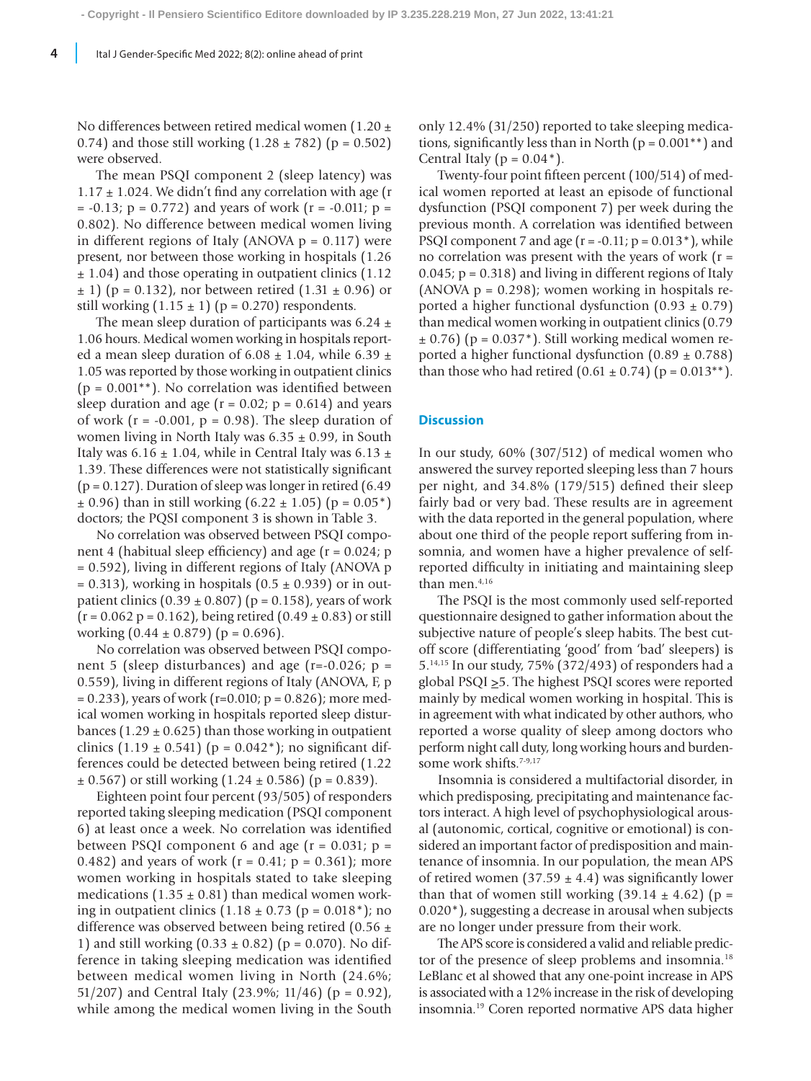No differences between retired medical women (1.20  $\pm$ 0.74) and those still working  $(1.28 \pm 782)$  (p = 0.502) were observed.

The mean PSQI component 2 (sleep latency) was  $1.17 \pm 1.024$ . We didn't find any correlation with age (r  $= -0.13$ ;  $p = 0.772$ ) and years of work (r =  $-0.011$ ;  $p =$ 0.802). No difference between medical women living in different regions of Italy (ANOVA  $p = 0.117$ ) were present, nor between those working in hospitals (1.26 ± 1.04) and those operating in outpatient clinics (1.12  $\pm$  1) (p = 0.132), nor between retired (1.31  $\pm$  0.96) or still working  $(1.15 \pm 1)$  (p = 0.270) respondents.

The mean sleep duration of participants was  $6.24 \pm$ 1.06 hours. Medical women working in hospitals reported a mean sleep duration of  $6.08 \pm 1.04$ , while  $6.39 \pm 1.04$ 1.05 was reported by those working in outpatient clinics  $(p = 0.001^{**})$ . No correlation was identified between sleep duration and age  $(r = 0.02; p = 0.614)$  and years of work ( $r = -0.001$ ,  $p = 0.98$ ). The sleep duration of women living in North Italy was  $6.35 \pm 0.99$ , in South Italy was  $6.16 \pm 1.04$ , while in Central Italy was  $6.13 \pm 1.04$ 1.39. These differences were not statistically significant  $(p = 0.127)$ . Duration of sleep was longer in retired  $(6.49)$  $\pm$  0.96) than in still working (6.22  $\pm$  1.05) (p = 0.05<sup>\*</sup>) doctors; the PQSI component 3 is shown in Table 3.

No correlation was observed between PSQI component 4 (habitual sleep efficiency) and age  $(r = 0.024; p$ = 0.592), living in different regions of Italy (ANOVA p  $= 0.313$ ), working in hospitals (0.5  $\pm$  0.939) or in outpatient clinics  $(0.39 \pm 0.807)$  (p = 0.158), years of work  $(r = 0.062 p = 0.162)$ , being retired  $(0.49 \pm 0.83)$  or still working  $(0.44 \pm 0.879)$  (p = 0.696).

No correlation was observed between PSQI component 5 (sleep disturbances) and age ( $r=-0.026$ ;  $p=$ 0.559), living in different regions of Italy (ANOVA, F, p  $= 0.233$ , years of work (r=0.010; p = 0.826); more medical women working in hospitals reported sleep disturbances (1.29  $\pm$  0.625) than those working in outpatient clinics  $(1.19 \pm 0.541)$  (p = 0.042<sup>\*</sup>); no significant differences could be detected between being retired (1.22  $\pm$  0.567) or still working (1.24  $\pm$  0.586) (p = 0.839).

Eighteen point four percent (93/505) of responders reported taking sleeping medication (PSQI component 6) at least once a week. No correlation was identified between PSQI component 6 and age  $(r = 0.031; p =$ 0.482) and years of work  $(r = 0.41; p = 0.361)$ ; more women working in hospitals stated to take sleeping medications  $(1.35 \pm 0.81)$  than medical women working in outpatient clinics  $(1.18 \pm 0.73)$  (p = 0.018<sup>\*</sup>); no difference was observed between being retired (0.56  $\pm$ 1) and still working  $(0.33 \pm 0.82)$  (p = 0.070). No difference in taking sleeping medication was identified between medical women living in North (24.6%; 51/207) and Central Italy (23.9%; 11/46) ( $p = 0.92$ ), while among the medical women living in the South only 12.4% (31/250) reported to take sleeping medications, significantly less than in North ( $p = 0.001**$ ) and Central Italy ( $p = 0.04$ <sup>\*</sup>).

Twenty-four point fifteen percent (100/514) of medical women reported at least an episode of functional dysfunction (PSQI component 7) per week during the previous month. A correlation was identified between PSQI component 7 and age  $(r = -0.11; p = 0.013*)$ , while no correlation was present with the years of work  $(r =$  $0.045$ ;  $p = 0.318$ ) and living in different regions of Italy (ANOVA  $p = 0.298$ ); women working in hospitals reported a higher functional dysfunction  $(0.93 \pm 0.79)$ than medical women working in outpatient clinics (0.79  $\pm$  0.76) (p = 0.037<sup>\*</sup>). Still working medical women reported a higher functional dysfunction  $(0.89 \pm 0.788)$ than those who had retired  $(0.61 \pm 0.74)$  (p = 0.013<sup>\*\*</sup>).

### **Discussion**

In our study, 60% (307/512) of medical women who answered the survey reported sleeping less than 7 hours per night, and 34.8% (179/515) defined their sleep fairly bad or very bad. These results are in agreement with the data reported in the general population, where about one third of the people report suffering from insomnia, and women have a higher prevalence of selfreported difficulty in initiating and maintaining sleep than men.<sup>4,16</sup>

The PSQI is the most commonly used self-reported questionnaire designed to gather information about the subjective nature of people's sleep habits. The best cutoff score (differentiating 'good' from 'bad' sleepers) is 5.14,15 In our study, 75% (372/493) of responders had a global PSQI  $\geq$ 5. The highest PSQI scores were reported mainly by medical women working in hospital. This is in agreement with what indicated by other authors, who reported a worse quality of sleep among doctors who perform night call duty, long working hours and burdensome work shifts.<sup>7-9,17</sup>

Insomnia is considered a multifactorial disorder, in which predisposing, precipitating and maintenance factors interact. A high level of psychophysiological arousal (autonomic, cortical, cognitive or emotional) is considered an important factor of predisposition and maintenance of insomnia. In our population, the mean APS of retired women (37.59  $\pm$  4.4) was significantly lower than that of women still working  $(39.14 \pm 4.62)$  (p = 0.020\*), suggesting a decrease in arousal when subjects are no longer under pressure from their work.

The APS score is considered a valid and reliable predictor of the presence of sleep problems and insomnia.<sup>18</sup> LeBlanc et al showed that any one-point increase in APS is associated with a 12% increase in the risk of developing insomnia.19 Coren reported normative APS data higher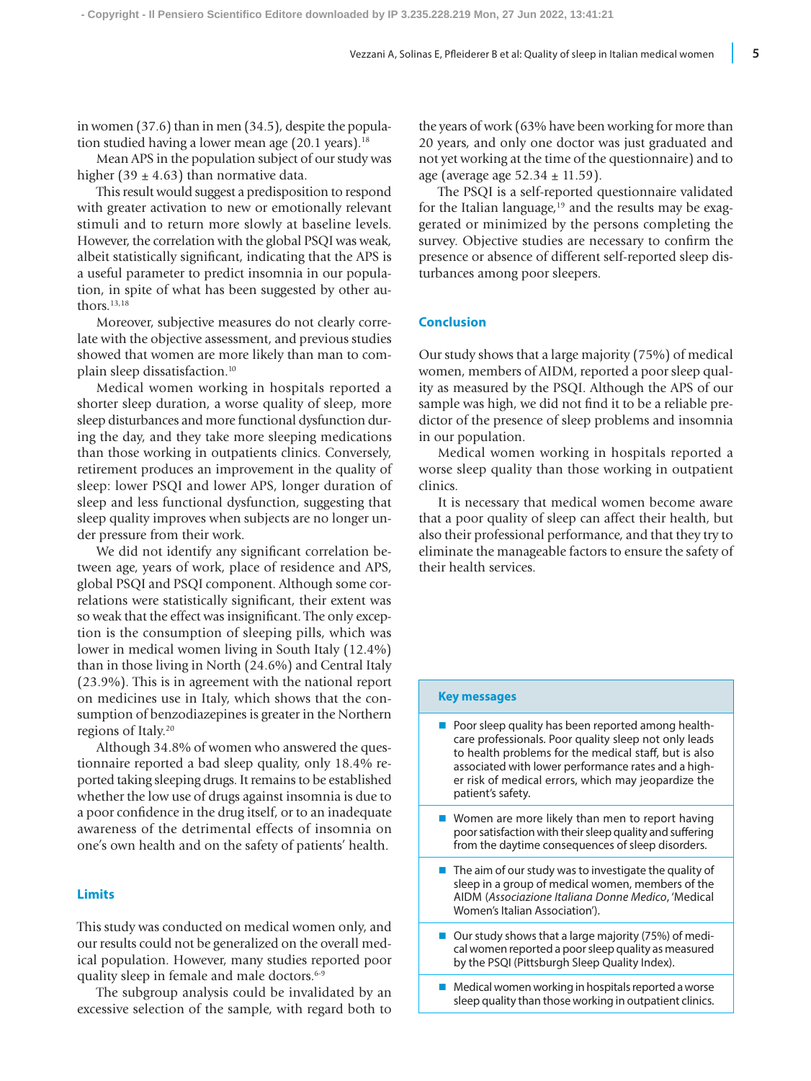in women (37.6) than in men (34.5), despite the population studied having a lower mean age  $(20.1 \text{ years})$ .<sup>18</sup>

Mean APS in the population subject of our study was higher (39  $\pm$  4.63) than normative data.

This result would suggest a predisposition to respond with greater activation to new or emotionally relevant stimuli and to return more slowly at baseline levels. However, the correlation with the global PSQI was weak, albeit statistically significant, indicating that the APS is a useful parameter to predict insomnia in our population, in spite of what has been suggested by other authors.13,18

Moreover, subjective measures do not clearly correlate with the objective assessment, and previous studies showed that women are more likely than man to complain sleep dissatisfaction.10

Medical women working in hospitals reported a shorter sleep duration, a worse quality of sleep, more sleep disturbances and more functional dysfunction during the day, and they take more sleeping medications than those working in outpatients clinics. Conversely, retirement produces an improvement in the quality of sleep: lower PSQI and lower APS, longer duration of sleep and less functional dysfunction, suggesting that sleep quality improves when subjects are no longer under pressure from their work.

We did not identify any significant correlation between age, years of work, place of residence and APS, global PSQI and PSQI component. Although some correlations were statistically significant, their extent was so weak that the effect was insignificant. The only exception is the consumption of sleeping pills, which was lower in medical women living in South Italy (12.4%) than in those living in North (24.6%) and Central Italy (23.9%). This is in agreement with the national report on medicines use in Italy, which shows that the consumption of benzodiazepines is greater in the Northern regions of Italy.20

Although 34.8% of women who answered the questionnaire reported a bad sleep quality, only 18.4% reported taking sleeping drugs. It remains to be established whether the low use of drugs against insomnia is due to a poor confidence in the drug itself, or to an inadequate awareness of the detrimental effects of insomnia on one's own health and on the safety of patients' health.

### **Limits**

This study was conducted on medical women only, and our results could not be generalized on the overall medical population. However, many studies reported poor quality sleep in female and male doctors.<sup>6-9</sup>

The subgroup analysis could be invalidated by an excessive selection of the sample, with regard both to the years of work (63% have been working for more than 20 years, and only one doctor was just graduated and not yet working at the time of the questionnaire) and to age (average age  $52.34 \pm 11.59$ ).

The PSQI is a self-reported questionnaire validated for the Italian language, $19$  and the results may be exaggerated or minimized by the persons completing the survey. Objective studies are necessary to confirm the presence or absence of different self-reported sleep disturbances among poor sleepers.

## **Conclusion**

Our study shows that a large majority (75%) of medical women, members of AIDM, reported a poor sleep quality as measured by the PSQI. Although the APS of our sample was high, we did not find it to be a reliable predictor of the presence of sleep problems and insomnia in our population.

Medical women working in hospitals reported a worse sleep quality than those working in outpatient clinics.

It is necessary that medical women become aware that a poor quality of sleep can affect their health, but also their professional performance, and that they try to eliminate the manageable factors to ensure the safety of their health services.

#### **Key messages**

- **Poor sleep quality has been reported among health**care professionals. Poor quality sleep not only leads to health problems for the medical staff, but is also associated with lower performance rates and a higher risk of medical errors, which may jeopardize the patient's safety.
- $\blacksquare$  Women are more likely than men to report having poor satisfaction with their sleep quality and suffering from the daytime consequences of sleep disorders.
- $\blacksquare$  The aim of our study was to investigate the quality of sleep in a group of medical women, members of the AIDM (*Associazione Italiana Donne Medico*, 'Medical Women's Italian Association').
- Our study shows that a large majority (75%) of medical women reported a poor sleep quality as measured by the PSQI (Pittsburgh Sleep Quality Index).
- $\blacksquare$  Medical women working in hospitals reported a worse sleep quality than those working in outpatient clinics.